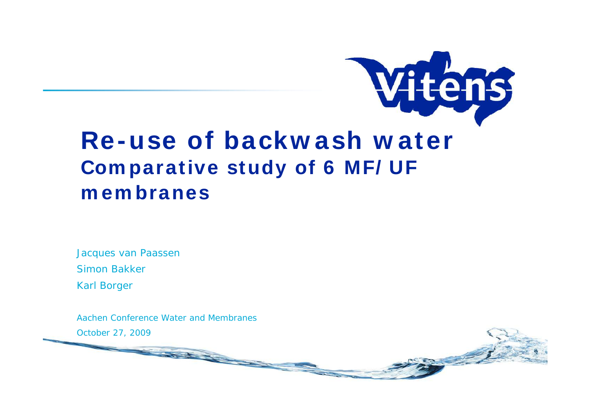

# **Re-use of backw ash w ater Com parative study of 6 MF/ UF m em branes**

Jacques van Paassen **Simon Bakker Simon Bakker Simon Bakker Simon Bakker Simon Bakker Simon Bakker Simon Bakker Simon Bakker Simon Bakker Simon Bakker Simon Bakker Simon Bakker Simon Bakker Simon Bakker Simon Bakke** 

Karl Borger

Aachen Conference Water and Membranes

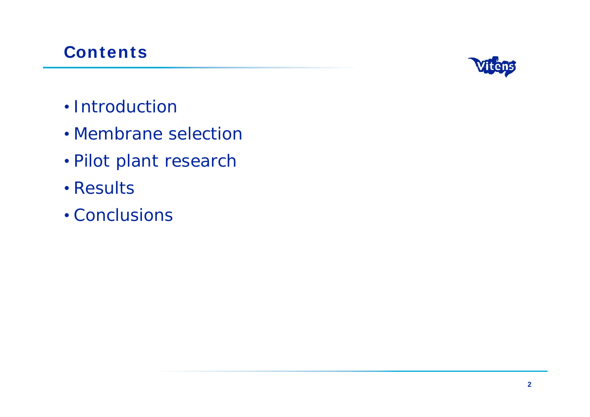## **Contents**



- Introduction
- Membrane selection
- Pilot plant research
- Results
- Conclusions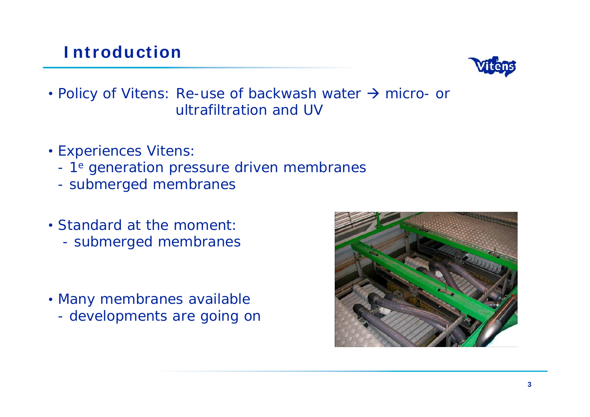#### **I ntroduction**



• Policy of Vitens: Re-use of backwash water  $\rightarrow$  micro- or ultrafiltration and UV

- 
- **Experiences Vitens:**<br>- 1<sup>e</sup> generation pressure driven membranes<br>- submerged membranes
	-
- Standard at the moment: - submerged membranes
- Many membranes available developments are going on

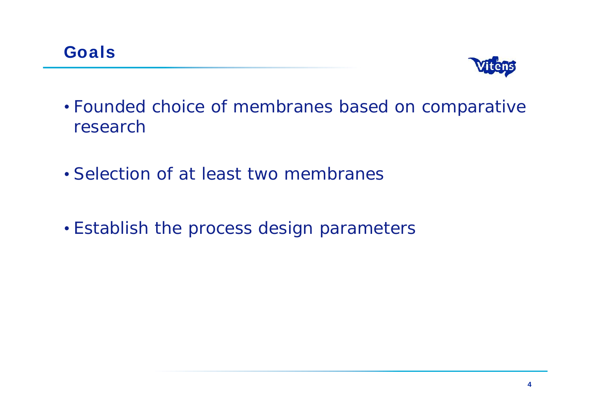

- Founded choice of membranes based on comparative research and the search of the search of the search of the search of the search of the search of the search of
- Selection of at least two membranes
- Establish the process design parameters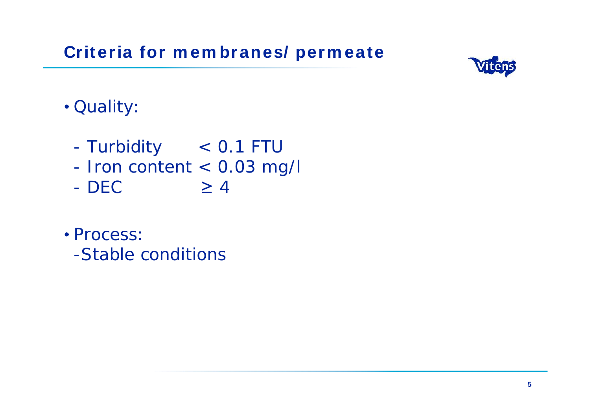**Criteria for m em branes/ perm eate**



# Quality:

- Turbidity < 0.1 FTU
- Iron content < 0.03 mg/l
- $DEC$   $\geq 4$
- Process: and the contract of the contract of the contract of the contract of the contract of the contract of the contract of the contract of the contract of the contract of the contract of the contract of the contract of t
	- -Stable conditions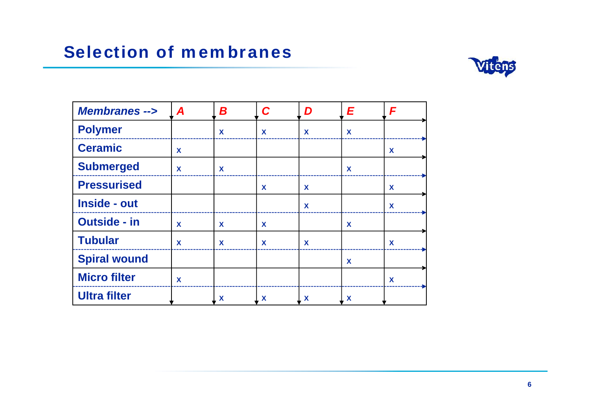# **Selection of m em branes**



| Membranes -->       | $\sqrt{ }$ | B | $\overline{D}$ |  |
|---------------------|------------|---|----------------|--|
| Polymer             |            |   |                |  |
| Ceramic             |            |   |                |  |
| Submerged           |            |   |                |  |
| <b>Pressurised</b>  |            |   |                |  |
| Inside - out        |            |   |                |  |
| <b>Outside - in</b> |            |   |                |  |
| Tubular             |            |   |                |  |
| Spiral wound        |            |   |                |  |
| Micro filter        |            |   |                |  |
| <b>Ultra filter</b> |            |   |                |  |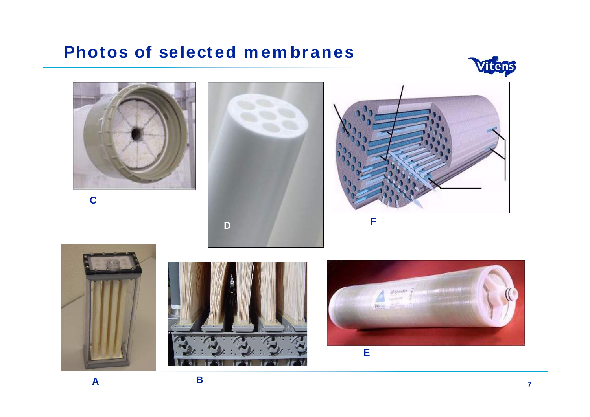#### **Photos of selected membranes**



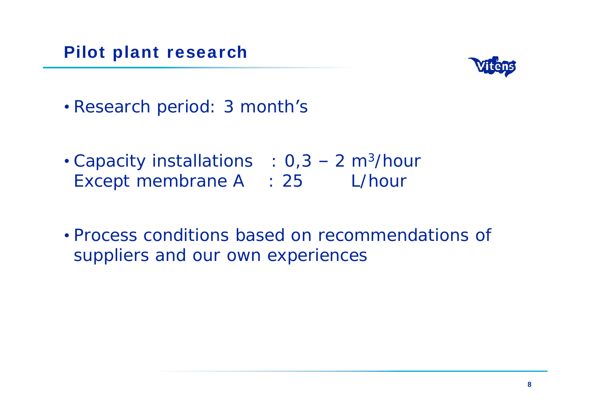#### **Pilot plant research**



- Research period: 3 month's
- Capacity installations  $: 0, 3 2$  m<sup>3</sup>/hour Except membrane A : 25 L/hour
- Process conditions based on recommendations of suppliers and our own experiences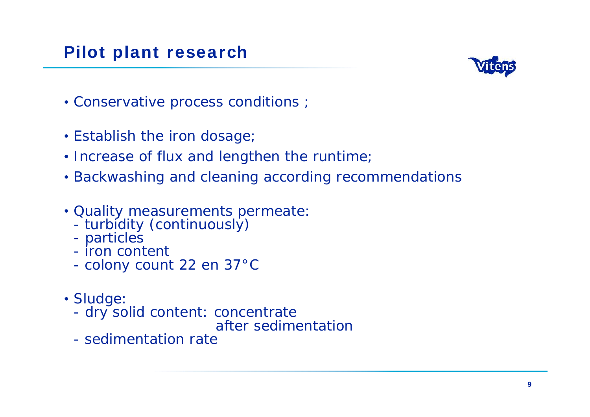## **Pilot plant research**



- Conservative process conditions ;
- Establish the iron dosage;
- Increase of flux and lengthen the runtime;
- Backwashing and cleaning according recommendations
- Quality measurements permeate:<br>- turbidity (continuously)<br>- particles
	-
	-
	-
	- iron content<br>- colony count 22 en 37°C
- Sludge: with the state of the state of the state of the state of the state of the state of the state of the state of the state of the state of the state of the state of the state of the state of the state of the state of t
	- dry solid content: concentrate
	- after sedimentation<br>
	sedimentation rate
	-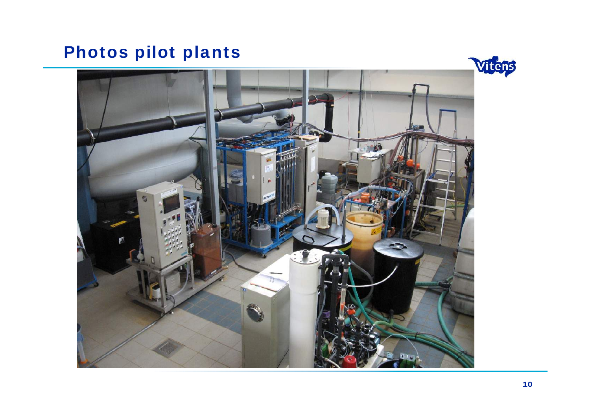# **Photos pilot plants**



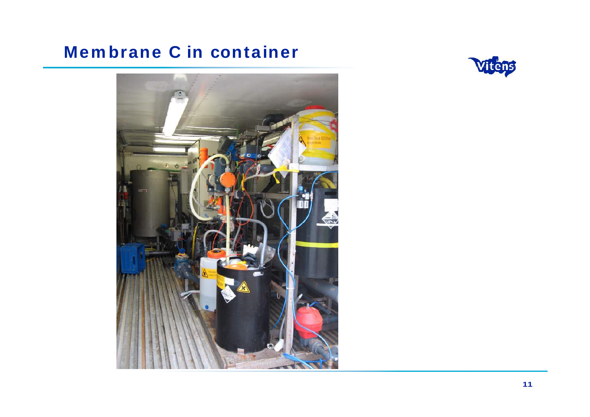# **Membrane C in container**



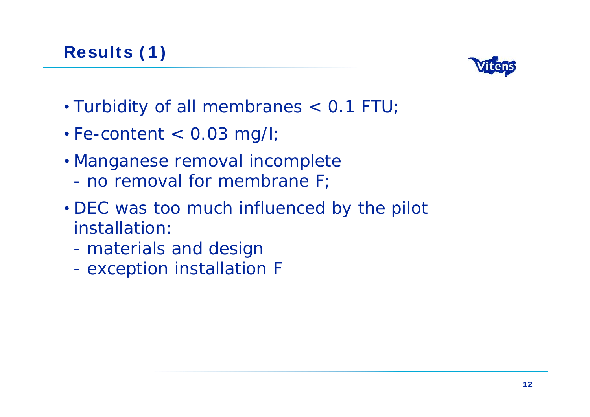

- Turbidity of all membranes < 0.1 FTU;
- $\cdot$  Fe-content  $<$  0.03 mg/l;
- Manganese removal incomplete
	- no removal for membrane F;
- DEC was too much influenced by the pilot installation:
	- materials and design
	- exception installation F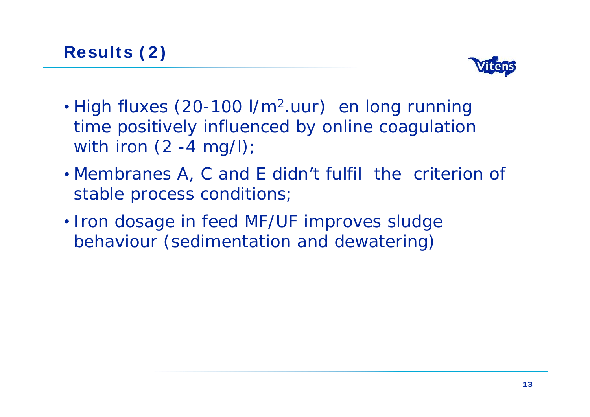

- High fluxes (20-100 l/m<sup>2</sup>.uur) en long running time positively influenced by online coagulation with iron (2 -4 mg/l);
- Membranes A, C and E didn't fulfil the criterion of stable process conditions;
- Iron dosage in feed MF/UF improves sludge behaviour (sedimentation and dewatering)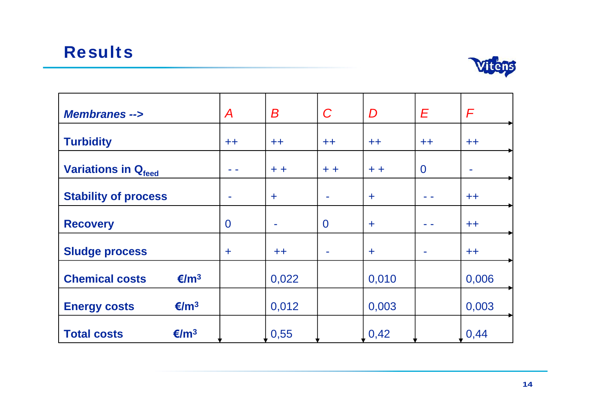#### **Results**



| Membranes -->         |                |            | $\bm B$                           | $\overline{C}$  | D                  | $\sqrt{E}$               |               |
|-----------------------|----------------|------------|-----------------------------------|-----------------|--------------------|--------------------------|---------------|
| <b>Turbidity</b>      |                | $++$       | $++$                              | $++$            | $++$               | $++$                     | $++$          |
|                       |                | $\sim 100$ | $+ +$                             | $+ +$           | $+ +$              | $\overline{0}$           |               |
| Variations in Qfeed   |                |            |                                   |                 |                    |                          |               |
| Stability of process  |                |            |                                   | <b>Contract</b> |                    | <b>Contract</b>          | $++$          |
| Recovery              |                |            | <b>Contract Contract Contract</b> |                 |                    | <b>Contract</b>          | $++$          |
| Sludge process        |                |            | $++$                              | <b>Contract</b> |                    | <b>Contract Contract</b> | $++$          |
|                       |                |            |                                   |                 |                    |                          |               |
| <b>Chemical costs</b> | $\epsilon/m^3$ |            | 0,022                             |                 | 0,010              |                          | 0,006         |
| <b>Energy costs</b>   | $\epsilon/m^3$ |            | 0,012                             |                 | 0,003              |                          | 0,003         |
| <b>Total costs</b>    | $\epsilon/m^3$ |            | 0,55                              |                 | $\vert 0,42 \vert$ |                          | $\sqrt{0,44}$ |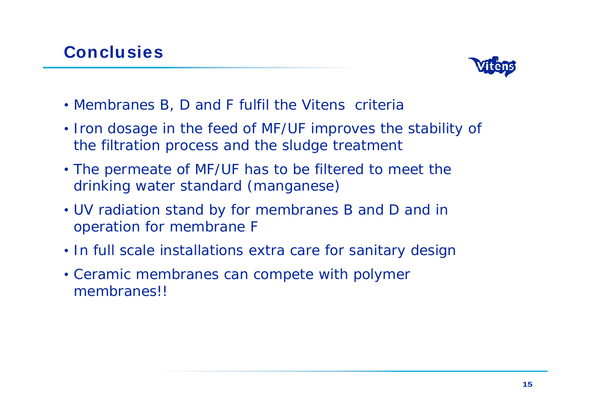

- Membranes B, D and F fulfil the Vitens criteria
- Iron dosage in the feed of MF/UF improves the stability of the filtration process and the sludge treatment
- The permeate of MF/UF has to be filtered to meet the drinking water standard (manganese)
- UV radiation stand by for membranes B and D and in operation for membrane F
- In full scale installations extra care for sanitary design
- Ceramic membranes can compete with polymer membranes!!